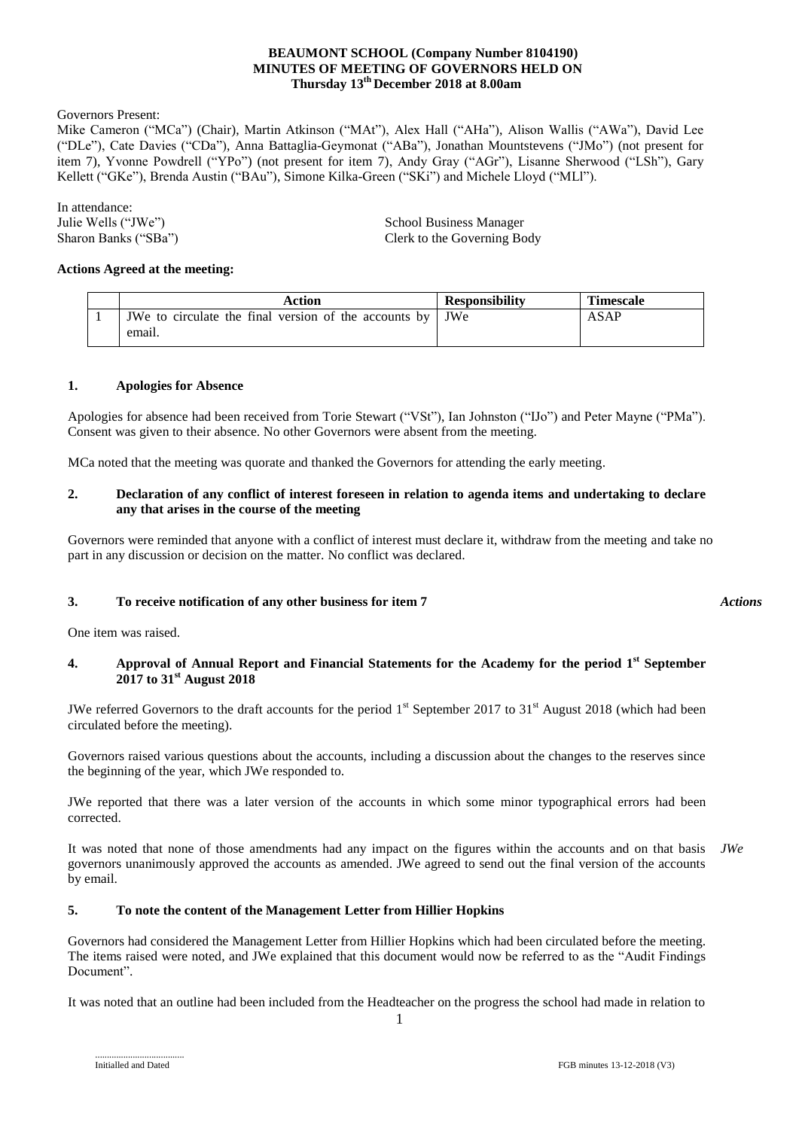## **BEAUMONT SCHOOL (Company Number 8104190) MINUTES OF MEETING OF GOVERNORS HELD ON Thursday 13 th December 2018 at 8.00am**

Governors Present:

Mike Cameron ("MCa") (Chair), Martin Atkinson ("MAt"), Alex Hall ("AHa"), Alison Wallis ("AWa"), David Lee ("DLe"), Cate Davies ("CDa"), Anna Battaglia-Geymonat ("ABa"), Jonathan Mountstevens ("JMo") (not present for item 7), Yvonne Powdrell ("YPo") (not present for item 7), Andy Gray ("AGr"), Lisanne Sherwood ("LSh"), Gary Kellett ("GKe"), Brenda Austin ("BAu"), Simone Kilka-Green ("SKi") and Michele Lloyd ("MLl").

In attendance:

Julie Wells ("JWe") School Business Manager Sharon Banks ("SBa") Clerk to the Governing Body

#### **Actions Agreed at the meeting:**

|  | Action                                                      | <b>Responsibility</b> | <b>Timescale</b> |
|--|-------------------------------------------------------------|-----------------------|------------------|
|  | JWe to circulate the final version of the accounts by   JWe |                       | <b>ASAP</b>      |
|  | email.                                                      |                       |                  |

#### **1. Apologies for Absence**

Apologies for absence had been received from Torie Stewart ("VSt"), Ian Johnston ("IJo") and Peter Mayne ("PMa"). Consent was given to their absence. No other Governors were absent from the meeting.

MCa noted that the meeting was quorate and thanked the Governors for attending the early meeting.

#### **2. Declaration of any conflict of interest foreseen in relation to agenda items and undertaking to declare any that arises in the course of the meeting**

Governors were reminded that anyone with a conflict of interest must declare it, withdraw from the meeting and take no part in any discussion or decision on the matter. No conflict was declared.

### **3. To receive notification of any other business for item 7**

One item was raised.

#### **4. Approval of Annual Report and Financial Statements for the Academy for the period 1st September 2017 to 31st August 2018**

JWe referred Governors to the draft accounts for the period  $1<sup>st</sup>$  September 2017 to 31<sup>st</sup> August 2018 (which had been circulated before the meeting).

Governors raised various questions about the accounts, including a discussion about the changes to the reserves since the beginning of the year, which JWe responded to.

JWe reported that there was a later version of the accounts in which some minor typographical errors had been corrected.

It was noted that none of those amendments had any impact on the figures within the accounts and on that basis *JWe*governors unanimously approved the accounts as amended. JWe agreed to send out the final version of the accounts by email.

#### **5. To note the content of the Management Letter from Hillier Hopkins**

Governors had considered the Management Letter from Hillier Hopkins which had been circulated before the meeting. The items raised were noted, and JWe explained that this document would now be referred to as the "Audit Findings Document".

It was noted that an outline had been included from the Headteacher on the progress the school had made in relation to

......................................